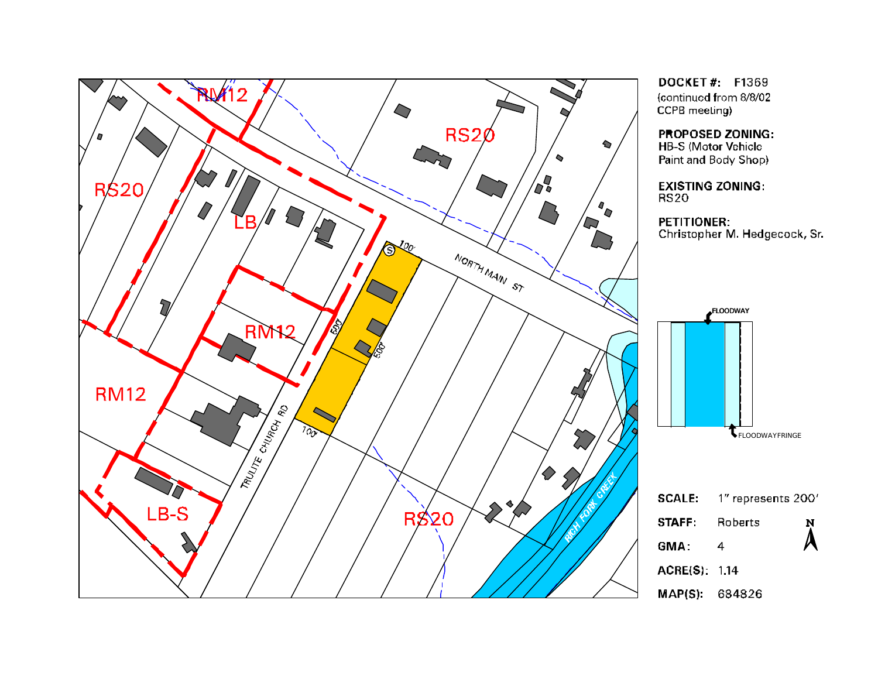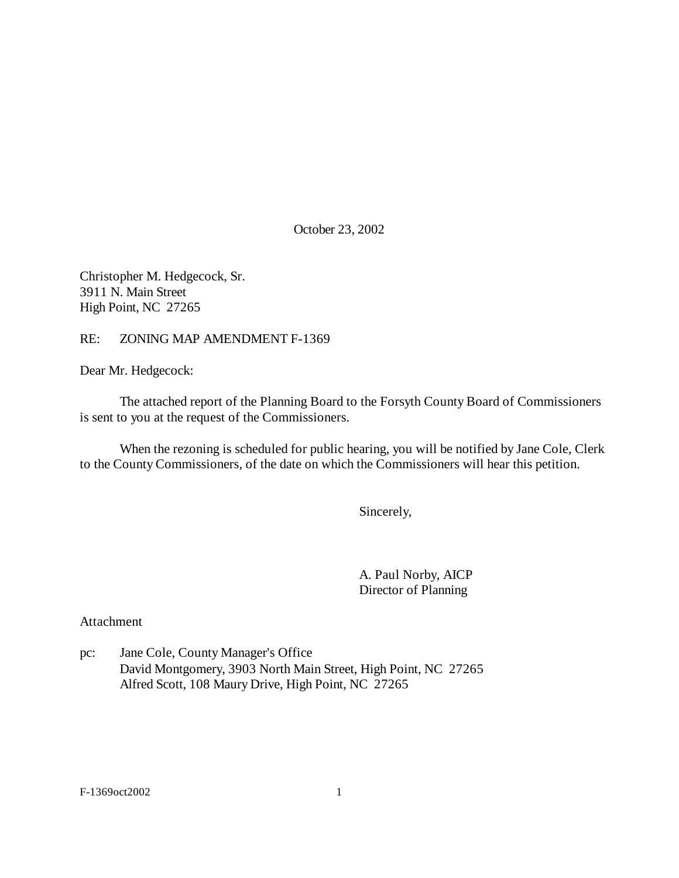October 23, 2002

Christopher M. Hedgecock, Sr. 3911 N. Main Street High Point, NC 27265

RE: ZONING MAP AMENDMENT F-1369

Dear Mr. Hedgecock:

The attached report of the Planning Board to the Forsyth County Board of Commissioners is sent to you at the request of the Commissioners.

When the rezoning is scheduled for public hearing, you will be notified by Jane Cole, Clerk to the County Commissioners, of the date on which the Commissioners will hear this petition.

Sincerely,

A. Paul Norby, AICP Director of Planning

Attachment

pc: Jane Cole, County Manager's Office David Montgomery, 3903 North Main Street, High Point, NC 27265 Alfred Scott, 108 Maury Drive, High Point, NC 27265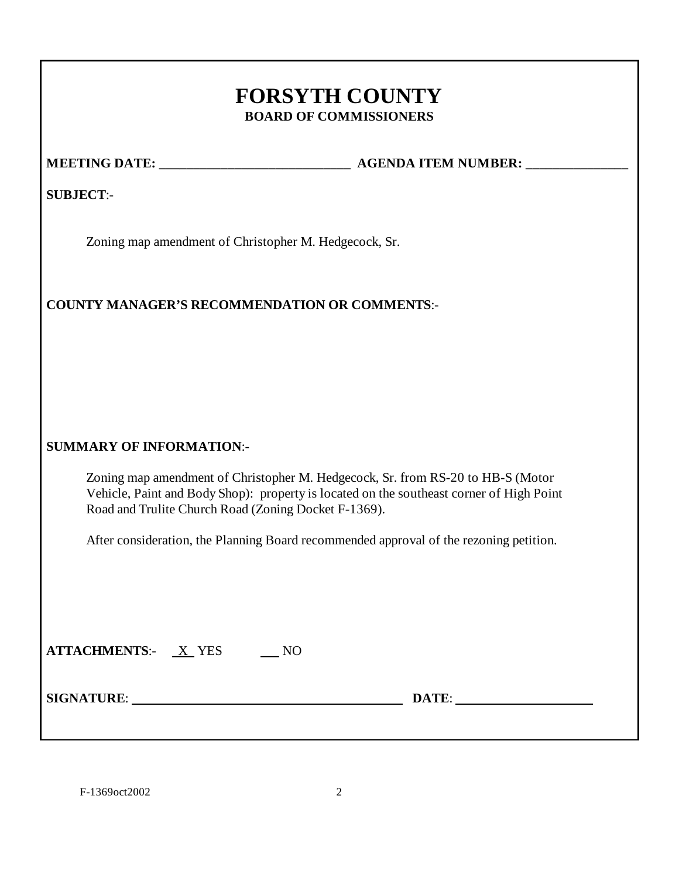# **FORSYTH COUNTY BOARD OF COMMISSIONERS**

**MEETING DATE: \_\_\_\_\_\_\_\_\_\_\_\_\_\_\_\_\_\_\_\_\_\_\_\_\_\_\_\_ AGENDA ITEM NUMBER: \_\_\_\_\_\_\_\_\_\_\_\_\_\_\_**

**SUBJECT**:-

Zoning map amendment of Christopher M. Hedgecock, Sr.

## **COUNTY MANAGER'S RECOMMENDATION OR COMMENTS**:-

## **SUMMARY OF INFORMATION**:-

Zoning map amendment of Christopher M. Hedgecock, Sr. from RS-20 to HB-S (Motor Vehicle, Paint and Body Shop): property is located on the southeast corner of High Point Road and Trulite Church Road (Zoning Docket F-1369).

After consideration, the Planning Board recommended approval of the rezoning petition.

| <b>ATTACHMENTS:-</b> | X YES |  |
|----------------------|-------|--|
|                      |       |  |

**SIGNATURE**: **DATE**:

F-1369oct2002 2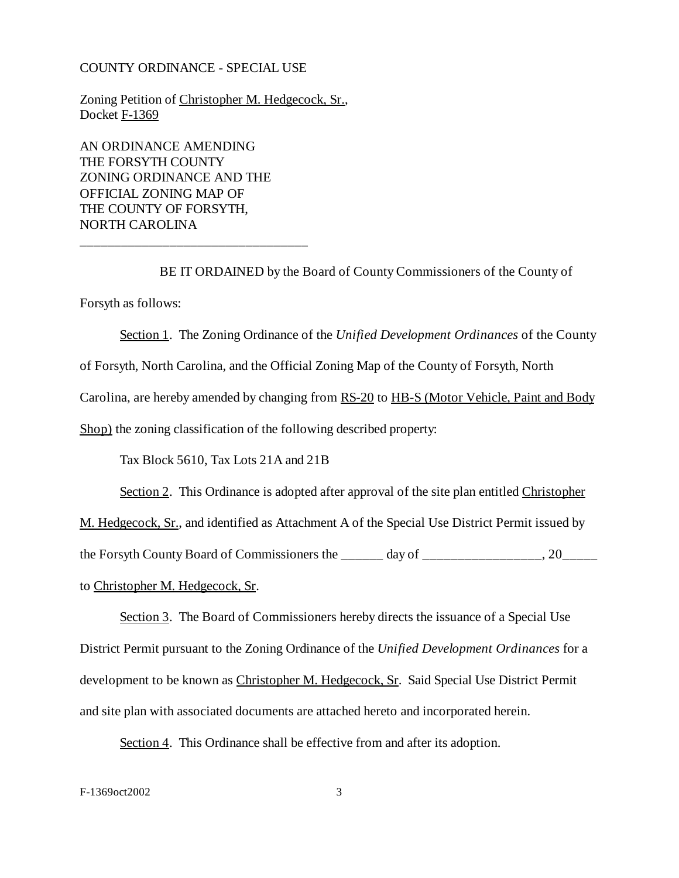#### COUNTY ORDINANCE - SPECIAL USE

Zoning Petition of Christopher M. Hedgecock, Sr., Docket F-1369

AN ORDINANCE AMENDING THE FORSYTH COUNTY ZONING ORDINANCE AND THE OFFICIAL ZONING MAP OF THE COUNTY OF FORSYTH, NORTH CAROLINA \_\_\_\_\_\_\_\_\_\_\_\_\_\_\_\_\_\_\_\_\_\_\_\_\_\_\_\_\_\_\_\_\_

BE IT ORDAINED by the Board of County Commissioners of the County of Forsyth as follows:

Section 1. The Zoning Ordinance of the *Unified Development Ordinances* of the County of Forsyth, North Carolina, and the Official Zoning Map of the County of Forsyth, North Carolina, are hereby amended by changing from RS-20 to HB-S (Motor Vehicle, Paint and Body Shop) the zoning classification of the following described property:

Tax Block 5610, Tax Lots 21A and 21B

Section 2. This Ordinance is adopted after approval of the site plan entitled Christopher

M. Hedgecock, Sr., and identified as Attachment A of the Special Use District Permit issued by the Forsyth County Board of Commissioners the \_\_\_\_\_\_ day of \_\_\_\_\_\_\_\_\_\_\_\_\_\_\_\_\_, 20\_\_\_\_\_ to Christopher M. Hedgecock, Sr.

Section 3. The Board of Commissioners hereby directs the issuance of a Special Use District Permit pursuant to the Zoning Ordinance of the *Unified Development Ordinances* for a development to be known as Christopher M. Hedgecock, Sr. Said Special Use District Permit and site plan with associated documents are attached hereto and incorporated herein.

Section 4. This Ordinance shall be effective from and after its adoption.

F-1369oct2002 3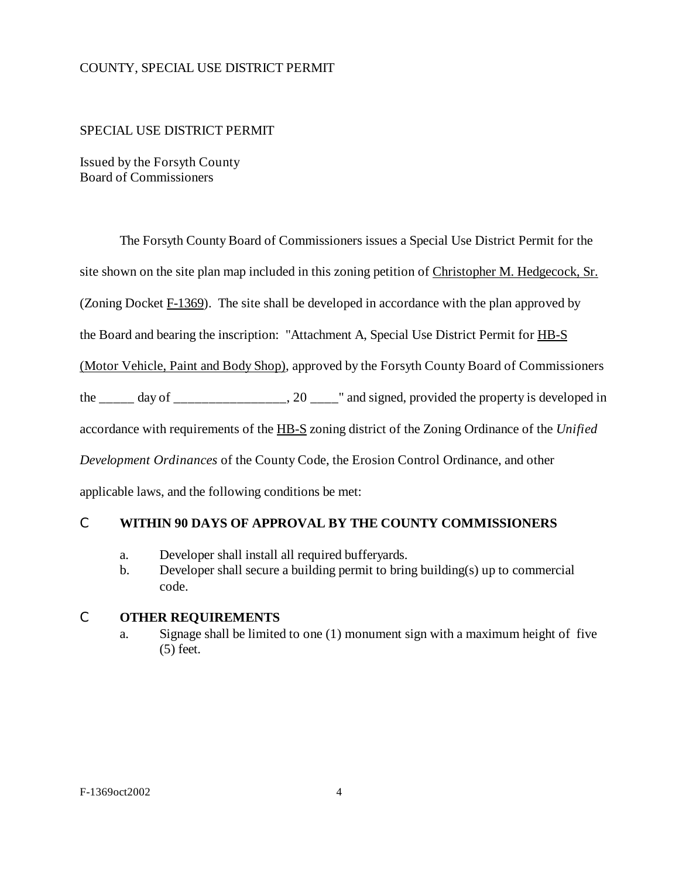### COUNTY, SPECIAL USE DISTRICT PERMIT

#### SPECIAL USE DISTRICT PERMIT

Issued by the Forsyth County Board of Commissioners

The Forsyth County Board of Commissioners issues a Special Use District Permit for the

site shown on the site plan map included in this zoning petition of Christopher M. Hedgecock, Sr.

(Zoning Docket  $F-1369$ ). The site shall be developed in accordance with the plan approved by

the Board and bearing the inscription: "Attachment A, Special Use District Permit for HB-S

(Motor Vehicle, Paint and Body Shop), approved by the Forsyth County Board of Commissioners

the  $\frac{day \text{ of}}{x}$   $\frac{20}{x^2}$  and signed, provided the property is developed in

accordance with requirements of the HB-S zoning district of the Zoning Ordinance of the *Unified*

*Development Ordinances* of the County Code, the Erosion Control Ordinance, and other

applicable laws, and the following conditions be met:

#### C **WITHIN 90 DAYS OF APPROVAL BY THE COUNTY COMMISSIONERS**

- a. Developer shall install all required bufferyards.
- b. Developer shall secure a building permit to bring building(s) up to commercial code.

#### C **OTHER REQUIREMENTS**

a. Signage shall be limited to one (1) monument sign with a maximum height of five (5) feet.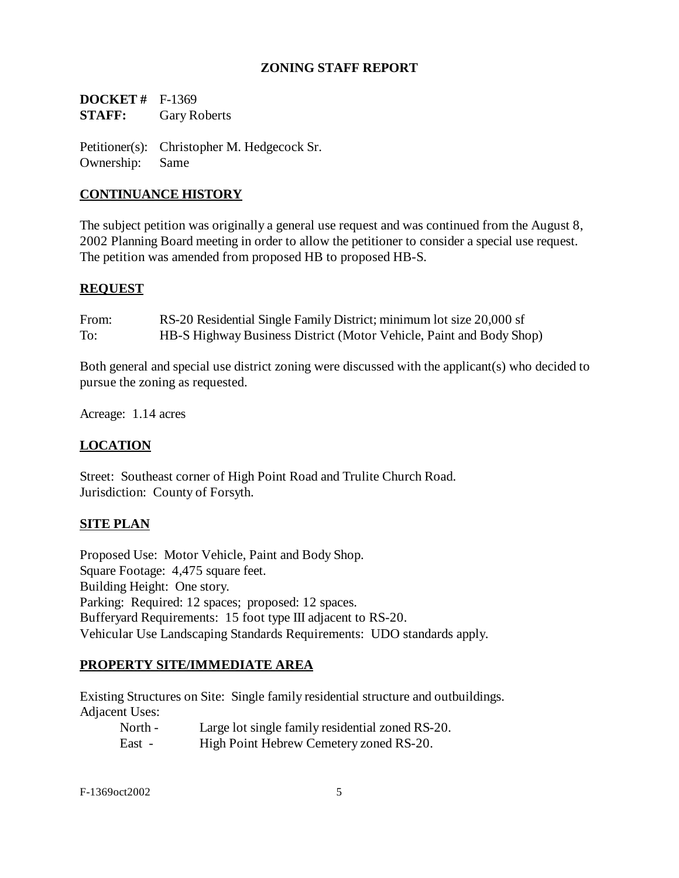## **ZONING STAFF REPORT**

**DOCKET #** F-1369 **STAFF:** Gary Roberts

Petitioner(s): Christopher M. Hedgecock Sr. Ownership: Same

### **CONTINUANCE HISTORY**

The subject petition was originally a general use request and was continued from the August 8, 2002 Planning Board meeting in order to allow the petitioner to consider a special use request. The petition was amended from proposed HB to proposed HB-S.

#### **REQUEST**

From: RS-20 Residential Single Family District; minimum lot size 20,000 sf To: HB-S Highway Business District (Motor Vehicle, Paint and Body Shop)

Both general and special use district zoning were discussed with the applicant(s) who decided to pursue the zoning as requested.

Acreage: 1.14 acres

### **LOCATION**

Street: Southeast corner of High Point Road and Trulite Church Road. Jurisdiction: County of Forsyth.

#### **SITE PLAN**

Proposed Use: Motor Vehicle, Paint and Body Shop. Square Footage: 4,475 square feet. Building Height: One story. Parking: Required: 12 spaces; proposed: 12 spaces. Bufferyard Requirements: 15 foot type III adjacent to RS-20. Vehicular Use Landscaping Standards Requirements: UDO standards apply.

#### **PROPERTY SITE/IMMEDIATE AREA**

Existing Structures on Site: Single family residential structure and outbuildings. Adjacent Uses:

| North - | Large lot single family residential zoned RS-20. |
|---------|--------------------------------------------------|
| East -  | High Point Hebrew Cemetery zoned RS-20.          |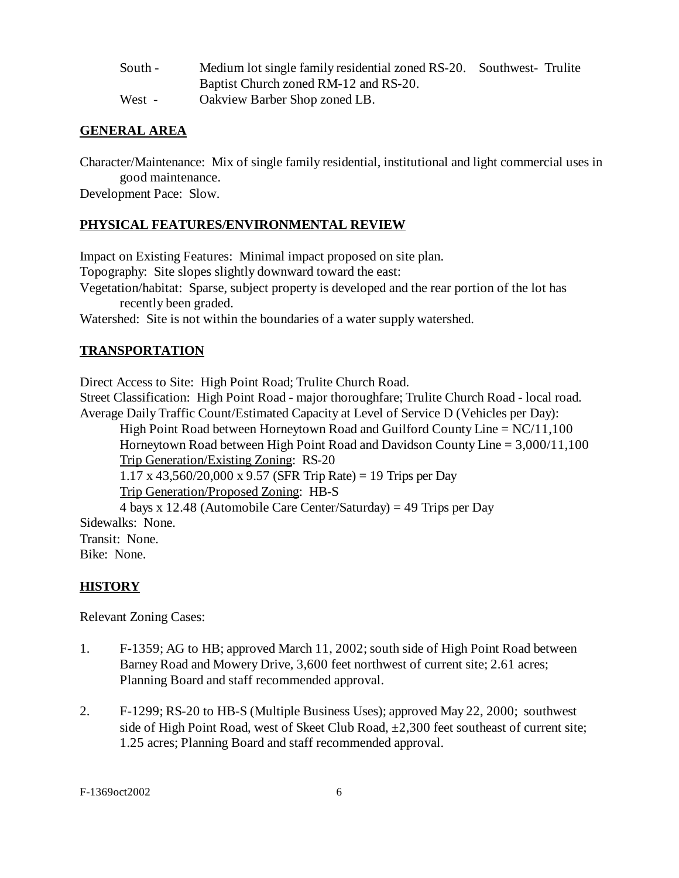| South - | Medium lot single family residential zoned RS-20. Southwest-Trulite |  |
|---------|---------------------------------------------------------------------|--|
|         | Baptist Church zoned RM-12 and RS-20.                               |  |
| West -  | Oakview Barber Shop zoned LB.                                       |  |

### **GENERAL AREA**

Character/Maintenance: Mix of single family residential, institutional and light commercial uses in good maintenance.

Development Pace: Slow.

#### **PHYSICAL FEATURES/ENVIRONMENTAL REVIEW**

Impact on Existing Features: Minimal impact proposed on site plan. Topography: Site slopes slightly downward toward the east: Vegetation/habitat: Sparse, subject property is developed and the rear portion of the lot has recently been graded.

Watershed: Site is not within the boundaries of a water supply watershed.

### **TRANSPORTATION**

Direct Access to Site: High Point Road; Trulite Church Road. Street Classification: High Point Road - major thoroughfare; Trulite Church Road - local road. Average Daily Traffic Count/Estimated Capacity at Level of Service D (Vehicles per Day):

High Point Road between Horneytown Road and Guilford County Line  $= NC/11,100$ Horneytown Road between High Point Road and Davidson County Line  $= 3,000/11,100$ Trip Generation/Existing Zoning: RS-20

1.17 x 43,560/20,000 x 9.57 (SFR Trip Rate) = 19 Trips per Day Trip Generation/Proposed Zoning: HB-S

4 bays x 12.48 (Automobile Care Center/Saturday) = 49 Trips per Day Sidewalks: None. Transit: None.

Bike: None.

## **HISTORY**

Relevant Zoning Cases:

- 1. F-1359; AG to HB; approved March 11, 2002; south side of High Point Road between Barney Road and Mowery Drive, 3,600 feet northwest of current site; 2.61 acres; Planning Board and staff recommended approval.
- 2. F-1299; RS-20 to HB-S (Multiple Business Uses); approved May 22, 2000; southwest side of High Point Road, west of Skeet Club Road, ±2,300 feet southeast of current site; 1.25 acres; Planning Board and staff recommended approval.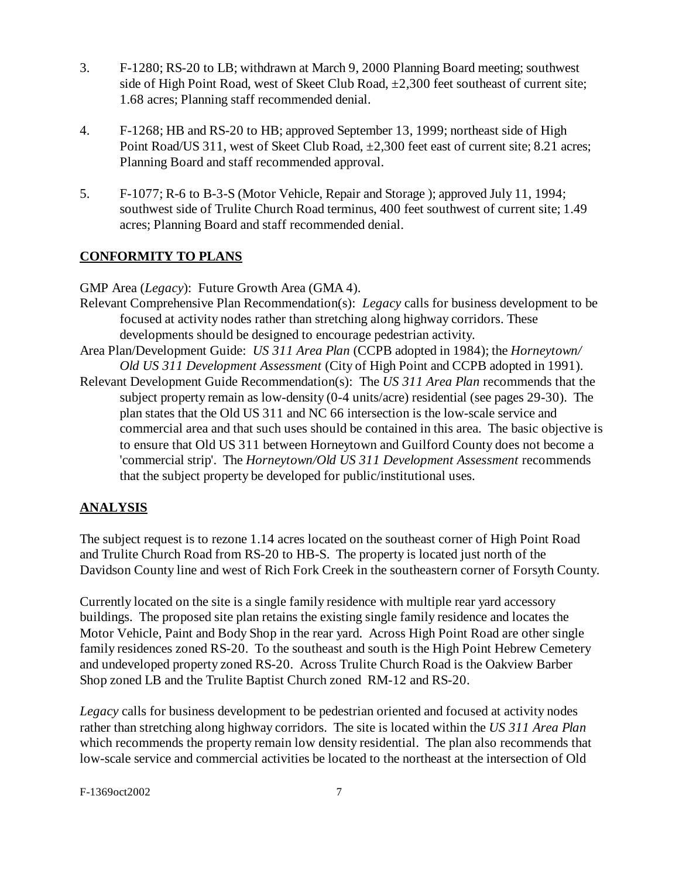- 3. F-1280; RS-20 to LB; withdrawn at March 9, 2000 Planning Board meeting; southwest side of High Point Road, west of Skeet Club Road,  $\pm 2,300$  feet southeast of current site; 1.68 acres; Planning staff recommended denial.
- 4. F-1268; HB and RS-20 to HB; approved September 13, 1999; northeast side of High Point Road/US 311, west of Skeet Club Road,  $\pm 2,300$  feet east of current site; 8.21 acres; Planning Board and staff recommended approval.
- 5. F-1077; R-6 to B-3-S (Motor Vehicle, Repair and Storage ); approved July 11, 1994; southwest side of Trulite Church Road terminus, 400 feet southwest of current site; 1.49 acres; Planning Board and staff recommended denial.

## **CONFORMITY TO PLANS**

GMP Area (*Legacy*): Future Growth Area (GMA 4).

- Relevant Comprehensive Plan Recommendation(s): *Legacy* calls for business development to be focused at activity nodes rather than stretching along highway corridors. These developments should be designed to encourage pedestrian activity.
- Area Plan/Development Guide: *US 311 Area Plan* (CCPB adopted in 1984); the *Horneytown/ Old US 311 Development Assessment* (City of High Point and CCPB adopted in 1991).
- Relevant Development Guide Recommendation(s): The *US 311 Area Plan* recommends that the subject property remain as low-density (0-4 units/acre) residential (see pages 29-30). The plan states that the Old US 311 and NC 66 intersection is the low-scale service and commercial area and that such uses should be contained in this area. The basic objective is to ensure that Old US 311 between Horneytown and Guilford County does not become a 'commercial strip'. The *Horneytown/Old US 311 Development Assessment* recommends that the subject property be developed for public/institutional uses.

## **ANALYSIS**

The subject request is to rezone 1.14 acres located on the southeast corner of High Point Road and Trulite Church Road from RS-20 to HB-S. The property is located just north of the Davidson County line and west of Rich Fork Creek in the southeastern corner of Forsyth County.

Currently located on the site is a single family residence with multiple rear yard accessory buildings. The proposed site plan retains the existing single family residence and locates the Motor Vehicle, Paint and Body Shop in the rear yard. Across High Point Road are other single family residences zoned RS-20. To the southeast and south is the High Point Hebrew Cemetery and undeveloped property zoned RS-20. Across Trulite Church Road is the Oakview Barber Shop zoned LB and the Trulite Baptist Church zoned RM-12 and RS-20.

*Legacy* calls for business development to be pedestrian oriented and focused at activity nodes rather than stretching along highway corridors. The site is located within the *US 311 Area Plan* which recommends the property remain low density residential. The plan also recommends that low-scale service and commercial activities be located to the northeast at the intersection of Old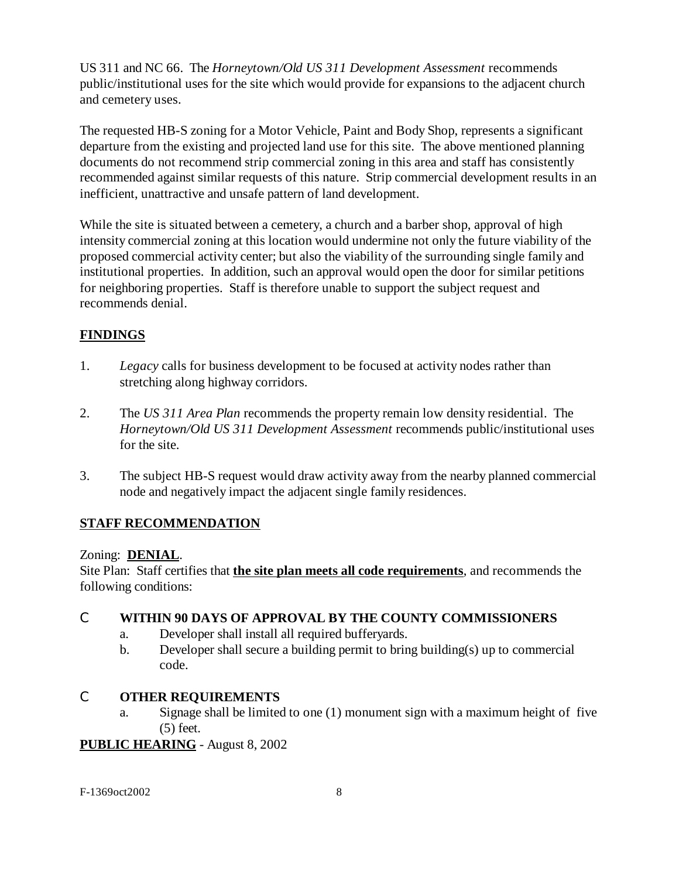US 311 and NC 66. The *Horneytown/Old US 311 Development Assessment* recommends public/institutional uses for the site which would provide for expansions to the adjacent church and cemetery uses.

The requested HB-S zoning for a Motor Vehicle, Paint and Body Shop, represents a significant departure from the existing and projected land use for this site. The above mentioned planning documents do not recommend strip commercial zoning in this area and staff has consistently recommended against similar requests of this nature. Strip commercial development results in an inefficient, unattractive and unsafe pattern of land development.

While the site is situated between a cemetery, a church and a barber shop, approval of high intensity commercial zoning at this location would undermine not only the future viability of the proposed commercial activity center; but also the viability of the surrounding single family and institutional properties. In addition, such an approval would open the door for similar petitions for neighboring properties. Staff is therefore unable to support the subject request and recommends denial.

## **FINDINGS**

- 1. *Legacy* calls for business development to be focused at activity nodes rather than stretching along highway corridors.
- 2. The *US 311 Area Plan* recommends the property remain low density residential. The *Horneytown/Old US 311 Development Assessment* recommends public/institutional uses for the site.
- 3. The subject HB-S request would draw activity away from the nearby planned commercial node and negatively impact the adjacent single family residences.

## **STAFF RECOMMENDATION**

#### Zoning: **DENIAL**.

Site Plan: Staff certifies that **the site plan meets all code requirements**, and recommends the following conditions:

## C **WITHIN 90 DAYS OF APPROVAL BY THE COUNTY COMMISSIONERS**

- a. Developer shall install all required bufferyards.
- b. Developer shall secure a building permit to bring building(s) up to commercial code.

## C **OTHER REQUIREMENTS**

a. Signage shall be limited to one (1) monument sign with a maximum height of five (5) feet.

## **PUBLIC HEARING** - August 8, 2002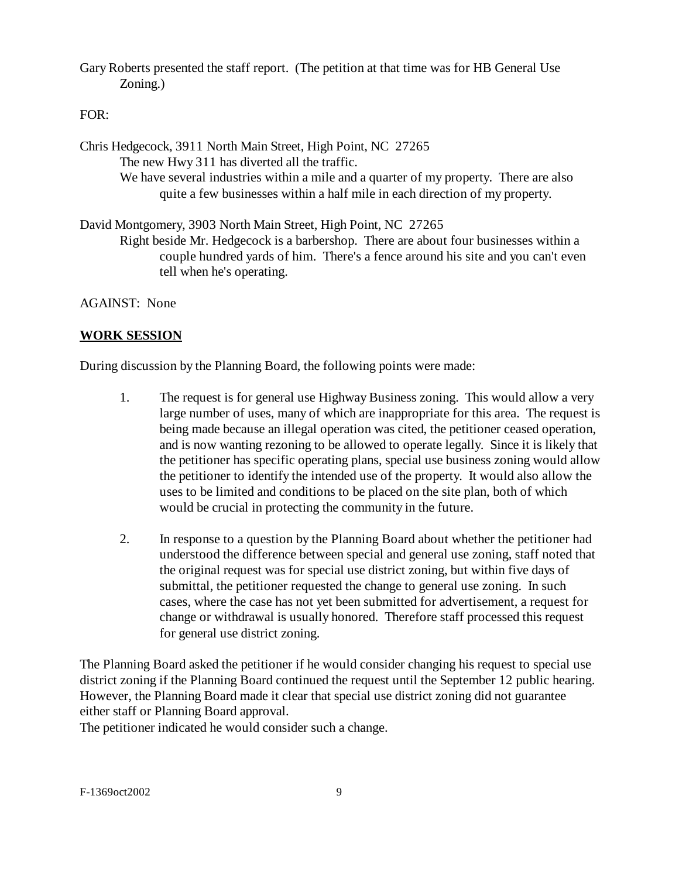Gary Roberts presented the staff report. (The petition at that time was for HB General Use Zoning.)

FOR:

Chris Hedgecock, 3911 North Main Street, High Point, NC 27265 The new Hwy 311 has diverted all the traffic. We have several industries within a mile and a quarter of my property. There are also quite a few businesses within a half mile in each direction of my property.

David Montgomery, 3903 North Main Street, High Point, NC 27265 Right beside Mr. Hedgecock is a barbershop. There are about four businesses within a couple hundred yards of him. There's a fence around his site and you can't even tell when he's operating.

AGAINST: None

## **WORK SESSION**

During discussion by the Planning Board, the following points were made:

- 1. The request is for general use Highway Business zoning. This would allow a very large number of uses, many of which are inappropriate for this area. The request is being made because an illegal operation was cited, the petitioner ceased operation, and is now wanting rezoning to be allowed to operate legally. Since it is likely that the petitioner has specific operating plans, special use business zoning would allow the petitioner to identify the intended use of the property. It would also allow the uses to be limited and conditions to be placed on the site plan, both of which would be crucial in protecting the community in the future.
- 2. In response to a question by the Planning Board about whether the petitioner had understood the difference between special and general use zoning, staff noted that the original request was for special use district zoning, but within five days of submittal, the petitioner requested the change to general use zoning. In such cases, where the case has not yet been submitted for advertisement, a request for change or withdrawal is usually honored. Therefore staff processed this request for general use district zoning.

The Planning Board asked the petitioner if he would consider changing his request to special use district zoning if the Planning Board continued the request until the September 12 public hearing. However, the Planning Board made it clear that special use district zoning did not guarantee either staff or Planning Board approval.

The petitioner indicated he would consider such a change.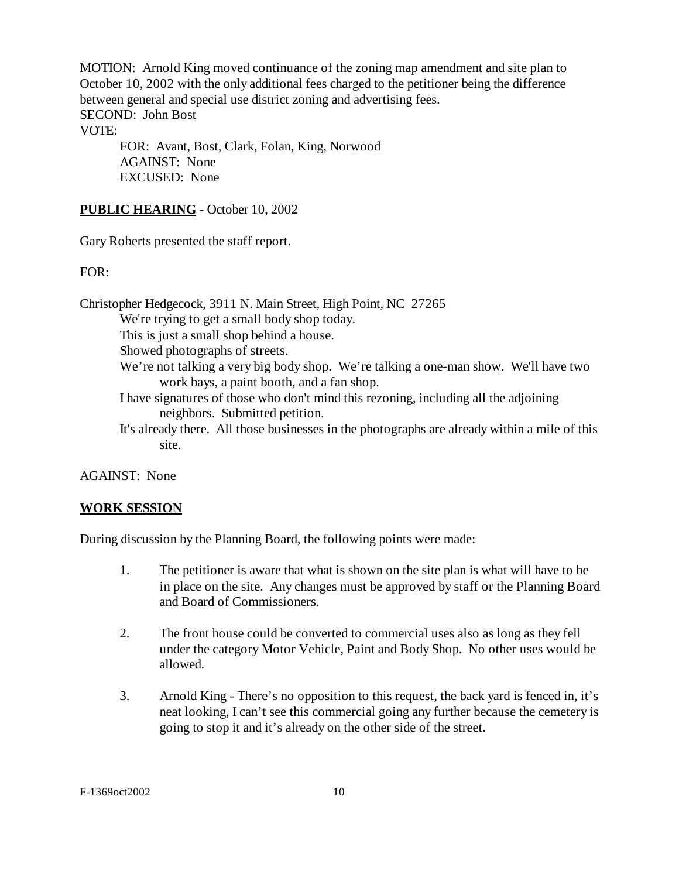MOTION: Arnold King moved continuance of the zoning map amendment and site plan to October 10, 2002 with the only additional fees charged to the petitioner being the difference between general and special use district zoning and advertising fees. SECOND: John Bost VOTE:

FOR: Avant, Bost, Clark, Folan, King, Norwood AGAINST: None EXCUSED: None

#### **PUBLIC HEARING** - October 10, 2002

Gary Roberts presented the staff report.

FOR:

Christopher Hedgecock, 3911 N. Main Street, High Point, NC 27265 We're trying to get a small body shop today.

This is just a small shop behind a house.

Showed photographs of streets.

- We're not talking a very big body shop. We're talking a one-man show. We'll have two work bays, a paint booth, and a fan shop.
- I have signatures of those who don't mind this rezoning, including all the adjoining neighbors. Submitted petition.
- It's already there. All those businesses in the photographs are already within a mile of this site.

AGAINST: None

#### **WORK SESSION**

During discussion by the Planning Board, the following points were made:

- 1. The petitioner is aware that what is shown on the site plan is what will have to be in place on the site. Any changes must be approved by staff or the Planning Board and Board of Commissioners.
- 2. The front house could be converted to commercial uses also as long as they fell under the category Motor Vehicle, Paint and Body Shop. No other uses would be allowed.
- 3. Arnold King There's no opposition to this request, the back yard is fenced in, it's neat looking, I can't see this commercial going any further because the cemetery is going to stop it and it's already on the other side of the street.